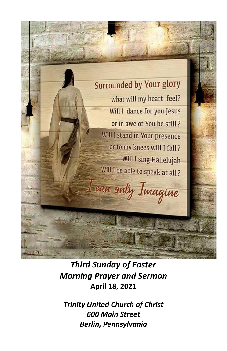# Surrounded by Your glory what will my heart feel? Will I dance for you Jesus or in awe of You be still? Will I stand in Your presence or to my knees will I fall? Will I sing Hallelujah Will I be able to speak at all? I can only Imagine

*Third Sunday of Easter Morning Prayer and Sermon* **April 18, 2021**

*Trinity United Church of Christ 600 Main Street Berlin, Pennsylvania*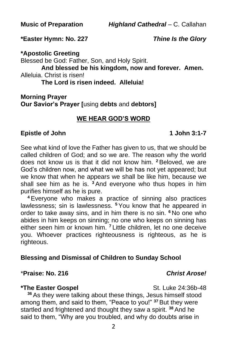**Music of Preparation** *Highland Cathedral* – C. Callahan

#### **\*Easter Hymn: No. 227** *Thine Is the Glory*

**\*Apostolic Greeting** Blessed be God: Father, Son, and Holy Spirit. **And blessed be his kingdom, now and forever. Amen.** Alleluia. Christ is risen! **The Lord is risen indeed. Alleluia!**

#### **Morning Prayer Our Savior's Prayer [**using **debts** and **debtors]**

#### **WE HEAR GOD'S WORD**

#### **Epistle of John 1 John 3:1-7**

See what kind of love the Father has given to us, that we should be called children of God; and so we are. The reason why the world does not know us is that it did not know him. **<sup>2</sup>** Beloved, we are God's children now, and what we will be has not yet appeared; but we know that when he appears we shall be like him, because we shall see him as he is. **<sup>3</sup>** And everyone who thus hopes in him purifies himself as he is pure.

**<sup>4</sup>** Everyone who makes a practice of sinning also practices lawlessness; sin is lawlessness. **<sup>5</sup>** You know that he appeared in order to take away sins, and in him there is no sin. **<sup>6</sup>** No one who abides in him keeps on sinning; no one who keeps on sinning has either seen him or known him. **<sup>7</sup>** Little children, let no one deceive you. Whoever practices righteousness is righteous, as he is righteous.

#### **Blessing and Dismissal of Children to Sunday School**

#### \***Praise: No. 216** *Christ Arose!*

#### **\*The Easter Gospel** St. Luke 24:36b-48

**<sup>36</sup>** As they were talking about these things, Jesus himself stood among them, and said to them, "Peace to you!" **<sup>37</sup>** But they were startled and frightened and thought they saw a spirit. **<sup>38</sup>** And he said to them, "Why are you troubled, and why do doubts arise in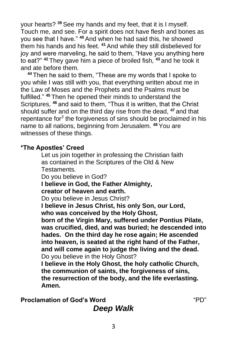your hearts? **<sup>39</sup>** See my hands and my feet, that it is I myself. Touch me, and see. For a spirit does not have flesh and bones as you see that I have." **<sup>40</sup>** And when he had said this, he showed them his hands and his feet. **<sup>41</sup>** And while they still disbelieved for joy and were marveling, he said to them, "Have you anything here to eat?" **<sup>42</sup>** They gave him a piece of broiled fish, **<sup>43</sup>** and he took it and ate before them.

**<sup>44</sup>** Then he said to them, "These are my words that I spoke to you while I was still with you, that everything written about me in the Law of Moses and the Prophets and the Psalms must be fulfilled." **<sup>45</sup>** Then he opened their minds to understand the Scriptures, **<sup>46</sup>** and said to them, "Thus it is written, that the Christ should suffer and on the third day rise from the dead, **<sup>47</sup>** and that repentance for<sup>3</sup> the forgiveness of sins should be proclaimed in his name to all nations, beginning from Jerusalem. **<sup>48</sup>** You are witnesses of these things.

#### **\*The Apostles' Creed**

Let us join together in professing the Christian faith as contained in the Scriptures of the Old & New Testaments.

Do you believe in God?

**I believe in God, the Father Almighty, creator of heaven and earth.**

Do you believe in Jesus Christ?

**I believe in Jesus Christ, his only Son, our Lord, who was conceived by the Holy Ghost,**

**born of the Virgin Mary, suffered under Pontius Pilate, was crucified, died, and was buried; he descended into hades. On the third day he rose again; He ascended into heaven, is seated at the right hand of the Father, and will come again to judge the living and the dead.** Do you believe in the Holy Ghost?

**I believe in the Holy Ghost, the holy catholic Church, the communion of saints, the forgiveness of sins, the resurrection of the body, and the life everlasting. Amen.**

**Proclamation of God's Word** "PD" *Deep Walk*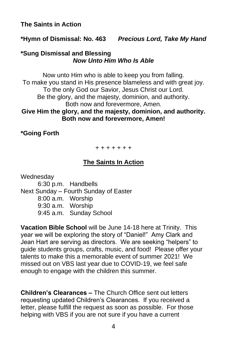#### **The Saints in Action**

#### **\*Hymn of Dismissal: No. 463** *Precious Lord, Take My Hand*

#### **\*Sung Dismissal and Blessing** *Now Unto Him Who Is Able*

Now unto Him who is able to keep you from falling. To make you stand in His presence blameless and with great joy. To the only God our Savior, Jesus Christ our Lord. Be the glory, and the majesty, dominion, and authority. Both now and forevermore, Amen. **Give Him the glory, and the majesty, dominion, and authority. Both now and forevermore, Amen!**

**\*Going Forth**

+ + + + + + +

## **The Saints In Action**

**Wednesday** 6:30 p.m. Handbells Next Sunday – Fourth Sunday of Easter 8:00 a.m. Worship 9:30 a.m. Worship 9:45 a.m. Sunday School

**Vacation Bible School** will be June 14-18 here at Trinity. This year we will be exploring the story of "Daniel!" Amy Clark and Jean Hart are serving as directors. We are seeking "helpers" to guide students groups, crafts, music, and food! Please offer your talents to make this a memorable event of summer 2021! We missed out on VBS last year due to COVID-19, we feel safe enough to engage with the children this summer.

**Children's Clearances –** The Church Office sent out letters requesting updated Children's Clearances. If you received a letter, please fulfill the request as soon as possible. For those helping with VBS if you are not sure if you have a current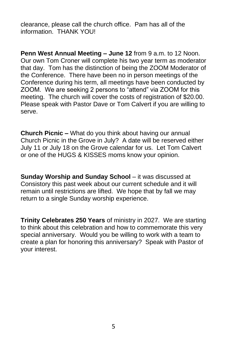clearance, please call the church office. Pam has all of the information. THANK YOU!

**Penn West Annual Meeting – June 12** from 9 a.m. to 12 Noon. Our own Tom Croner will complete his two year term as moderator that day. Tom has the distinction of being the ZOOM Moderator of the Conference. There have been no in person meetings of the Conference during his term, all meetings have been conducted by ZOOM. We are seeking 2 persons to "attend" via ZOOM for this meeting. The church will cover the costs of registration of \$20.00. Please speak with Pastor Dave or Tom Calvert if you are willing to serve.

**Church Picnic –** What do you think about having our annual Church Picnic in the Grove in July? A date will be reserved either July 11 or July 18 on the Grove calendar for us. Let Tom Calvert or one of the HUGS & KISSES moms know your opinion.

**Sunday Worship and Sunday School** – it was discussed at Consistory this past week about our current schedule and it will remain until restrictions are lifted. We hope that by fall we may return to a single Sunday worship experience.

**Trinity Celebrates 250 Years** of ministry in 2027. We are starting to think about this celebration and how to commemorate this very special anniversary. Would you be willing to work with a team to create a plan for honoring this anniversary? Speak with Pastor of your interest.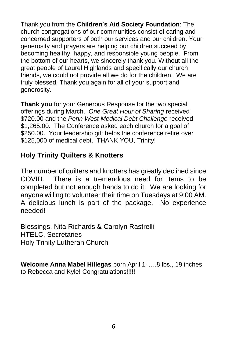Thank you from the **Children's Aid Society Foundation**: The church congregations of our communities consist of caring and concerned supporters of both our services and our children. Your generosity and prayers are helping our children succeed by becoming healthy, happy, and responsible young people. From the bottom of our hearts, we sincerely thank you. Without all the great people of Laurel Highlands and specifically our church friends, we could not provide all we do for the children. We are truly blessed. Thank you again for all of your support and generosity.

**Thank you** for your Generous Response for the two special offerings during March. *One Great Hour of Sharing* received \$720.00 and the *Penn West Medical Debt Challenge* received \$1,265.00. The Conference asked each church for a goal of \$250.00. Your leadership gift helps the conference retire over \$125,000 of medical debt. THANK YOU, Trinity!

## **Holy Trinity Quilters & Knotters**

The number of quilters and knotters has greatly declined since COVID. There is a tremendous need for items to be completed but not enough hands to do it. We are looking for anyone willing to volunteer their time on Tuesdays at 9:00 AM. A delicious lunch is part of the package. No experience needed!

Blessings, Nita Richards & Carolyn Rastrelli HTELC, Secretaries Holy Trinity Lutheran Church

**Welcome Anna Mabel Hillegas** born April 1<sup>st</sup>....8 lbs., 19 inches to Rebecca and Kyle! Congratulations!!!!!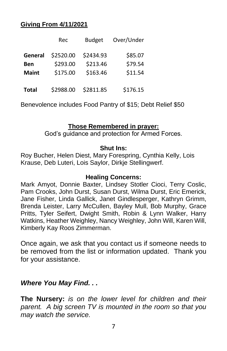#### **Giving From 4/11/2021**

|              | Rec       | <b>Budget</b> | Over/Under |
|--------------|-----------|---------------|------------|
| General      | \$2520.00 | \$2434.93     | \$85.07    |
| Ben          | \$293.00  | \$213.46      | \$79.54    |
| <b>Maint</b> | \$175.00  | \$163.46      | \$11.54    |
| <b>Total</b> | \$2988.00 | \$2811.85     | \$176.15   |

Benevolence includes Food Pantry of \$15; Debt Relief \$50

#### **Those Remembered in prayer:**

God's guidance and protection for Armed Forces.

#### **Shut Ins:**

Roy Bucher, Helen Diest, Mary Forespring, Cynthia Kelly, Lois Krause, Deb Luteri, Lois Saylor, Dirkje Stellingwerf.

#### **Healing Concerns:**

Mark Amyot, Donnie Baxter, Lindsey Stotler Cioci, Terry Coslic, Pam Crooks, John Durst, Susan Durst, Wilma Durst, Eric Emerick, Jane Fisher, Linda Gallick, Janet Gindlesperger, Kathryn Grimm, Brenda Leister, Larry McCullen, Bayley Mull, Bob Murphy, Grace Pritts, Tyler Seifert, Dwight Smith, Robin & Lynn Walker, Harry Watkins, Heather Weighley, Nancy Weighley, John Will, Karen Will, Kimberly Kay Roos Zimmerman.

Once again, we ask that you contact us if someone needs to be removed from the list or information updated. Thank you for your assistance.

## *Where You May Find. . .*

**The Nursery:** *is on the lower level for children and their parent. A big screen TV is mounted in the room so that you may watch the service.*